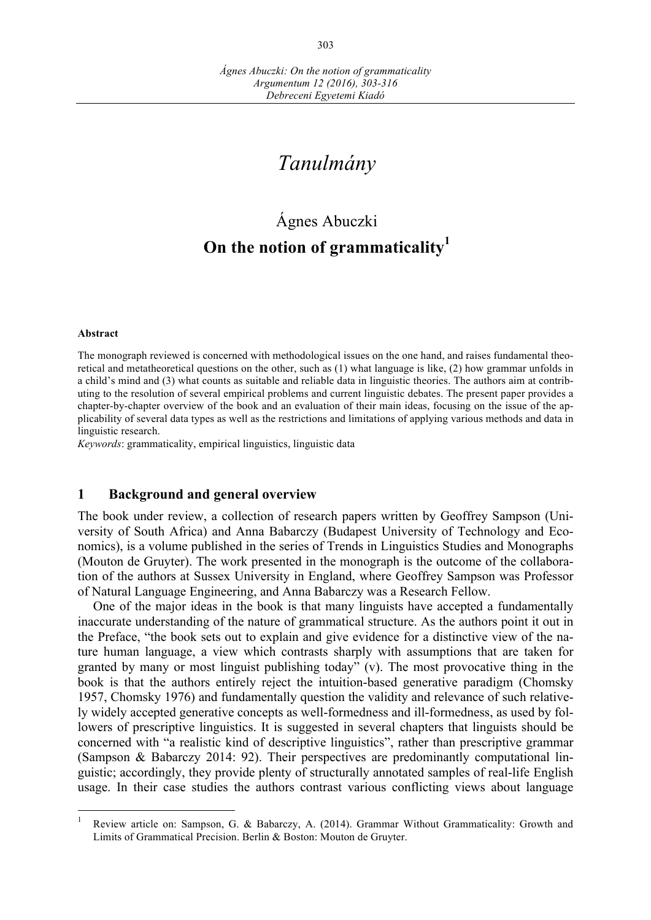# *Tanulmány*

# Ágnes Abuczki **On the notion of grammaticality<sup>1</sup>**

#### **Abstract**

The monograph reviewed is concerned with methodological issues on the one hand, and raises fundamental theoretical and metatheoretical questions on the other, such as (1) what language is like, (2) how grammar unfolds in a child's mind and (3) what counts as suitable and reliable data in linguistic theories. The authors aim at contributing to the resolution of several empirical problems and current linguistic debates. The present paper provides a chapter-by-chapter overview of the book and an evaluation of their main ideas, focusing on the issue of the applicability of several data types as well as the restrictions and limitations of applying various methods and data in linguistic research.

*Keywords*: grammaticality, empirical linguistics, linguistic data

#### **1 Background and general overview**

The book under review, a collection of research papers written by Geoffrey Sampson (University of South Africa) and Anna Babarczy (Budapest University of Technology and Economics), is a volume published in the series of Trends in Linguistics Studies and Monographs (Mouton de Gruyter). The work presented in the monograph is the outcome of the collaboration of the authors at Sussex University in England, where Geoffrey Sampson was Professor of Natural Language Engineering, and Anna Babarczy was a Research Fellow.

One of the major ideas in the book is that many linguists have accepted a fundamentally inaccurate understanding of the nature of grammatical structure. As the authors point it out in the Preface, "the book sets out to explain and give evidence for a distinctive view of the nature human language, a view which contrasts sharply with assumptions that are taken for granted by many or most linguist publishing today" (v). The most provocative thing in the book is that the authors entirely reject the intuition-based generative paradigm (Chomsky 1957, Chomsky 1976) and fundamentally question the validity and relevance of such relatively widely accepted generative concepts as well-formedness and ill-formedness, as used by followers of prescriptive linguistics. It is suggested in several chapters that linguists should be concerned with "a realistic kind of descriptive linguistics", rather than prescriptive grammar (Sampson & Babarczy 2014: 92). Their perspectives are predominantly computational linguistic; accordingly, they provide plenty of structurally annotated samples of real-life English usage. In their case studies the authors contrast various conflicting views about language

<sup>&</sup>lt;sup>1</sup> Review article on: Sampson, G. & Babarczy, A. (2014). Grammar Without Grammaticality: Growth and Limits of Grammatical Precision. Berlin & Boston: Mouton de Gruyter.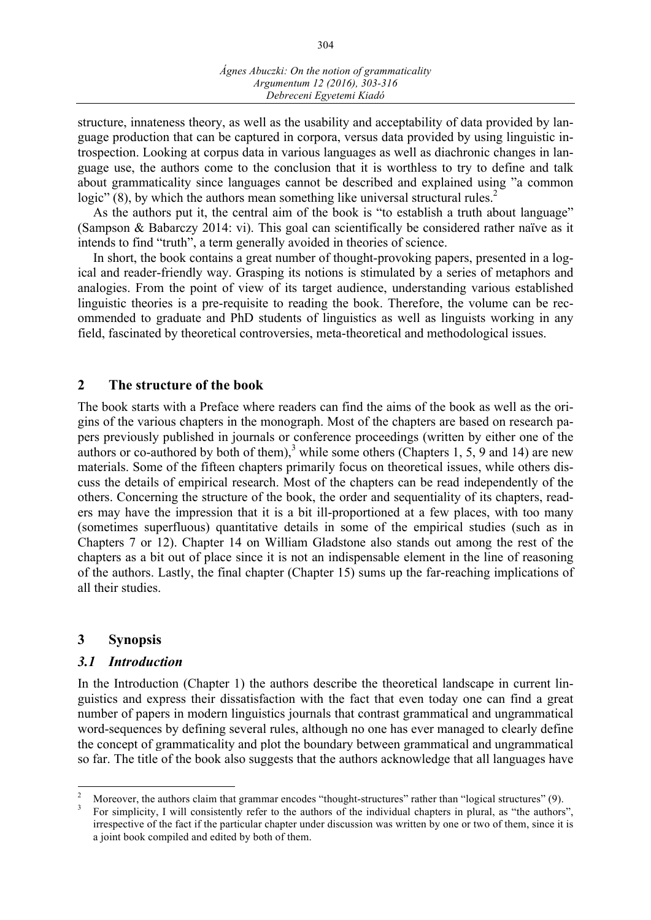structure, innateness theory, as well as the usability and acceptability of data provided by language production that can be captured in corpora, versus data provided by using linguistic introspection. Looking at corpus data in various languages as well as diachronic changes in language use, the authors come to the conclusion that it is worthless to try to define and talk about grammaticality since languages cannot be described and explained using "a common logic"  $(8)$ , by which the authors mean something like universal structural rules.<sup>2</sup>

As the authors put it, the central aim of the book is "to establish a truth about language" (Sampson & Babarczy 2014: vi). This goal can scientifically be considered rather naïve as it intends to find "truth", a term generally avoided in theories of science.

In short, the book contains a great number of thought-provoking papers, presented in a logical and reader-friendly way. Grasping its notions is stimulated by a series of metaphors and analogies. From the point of view of its target audience, understanding various established linguistic theories is a pre-requisite to reading the book. Therefore, the volume can be recommended to graduate and PhD students of linguistics as well as linguists working in any field, fascinated by theoretical controversies, meta-theoretical and methodological issues.

## **2 The structure of the book**

The book starts with a Preface where readers can find the aims of the book as well as the origins of the various chapters in the monograph. Most of the chapters are based on research papers previously published in journals or conference proceedings (written by either one of the authors or co-authored by both of them),<sup>3</sup> while some others (Chapters 1, 5, 9 and 14) are new materials. Some of the fifteen chapters primarily focus on theoretical issues, while others discuss the details of empirical research. Most of the chapters can be read independently of the others. Concerning the structure of the book, the order and sequentiality of its chapters, readers may have the impression that it is a bit ill-proportioned at a few places, with too many (sometimes superfluous) quantitative details in some of the empirical studies (such as in Chapters 7 or 12). Chapter 14 on William Gladstone also stands out among the rest of the chapters as a bit out of place since it is not an indispensable element in the line of reasoning of the authors. Lastly, the final chapter (Chapter 15) sums up the far-reaching implications of all their studies.

## **3 Synopsis**

## *3.1 Introduction*

In the Introduction (Chapter 1) the authors describe the theoretical landscape in current linguistics and express their dissatisfaction with the fact that even today one can find a great number of papers in modern linguistics journals that contrast grammatical and ungrammatical word-sequences by defining several rules, although no one has ever managed to clearly define the concept of grammaticality and plot the boundary between grammatical and ungrammatical so far. The title of the book also suggests that the authors acknowledge that all languages have

<sup>&</sup>lt;sup>2</sup> Moreover, the authors claim that grammar encodes "thought-structures" rather than "logical structures" (9).<br><sup>3</sup> For simplicity, I will consistently refer to the authors of the individual chapters in plural, as "the au

irrespective of the fact if the particular chapter under discussion was written by one or two of them, since it is a joint book compiled and edited by both of them.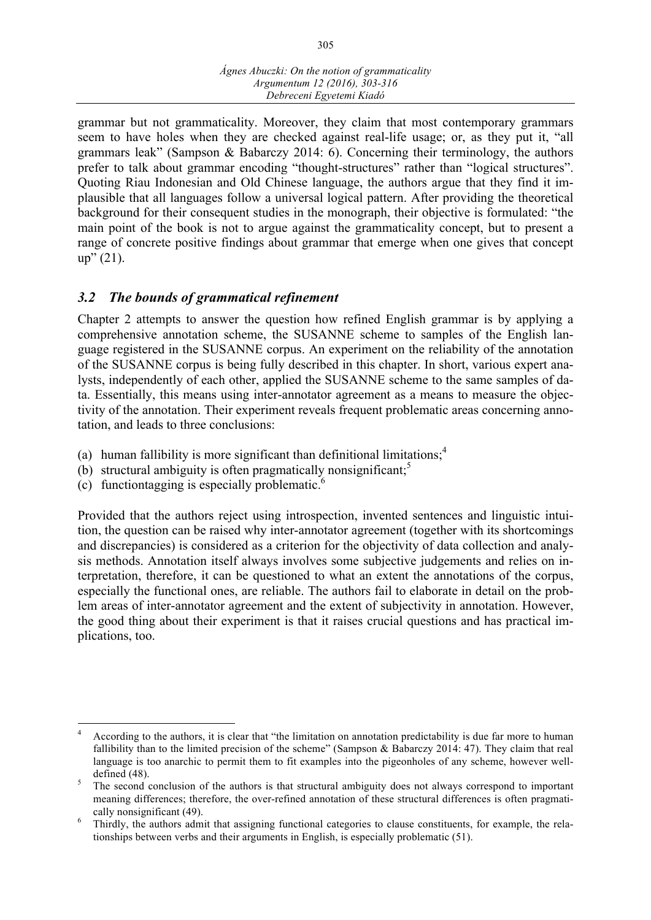grammar but not grammaticality. Moreover, they claim that most contemporary grammars seem to have holes when they are checked against real-life usage; or, as they put it, "all grammars leak" (Sampson & Babarczy 2014: 6). Concerning their terminology, the authors prefer to talk about grammar encoding "thought-structures" rather than "logical structures". Quoting Riau Indonesian and Old Chinese language, the authors argue that they find it implausible that all languages follow a universal logical pattern. After providing the theoretical background for their consequent studies in the monograph, their objective is formulated: "the main point of the book is not to argue against the grammaticality concept, but to present a range of concrete positive findings about grammar that emerge when one gives that concept up" (21).

## *3.2 The bounds of grammatical refinement*

Chapter 2 attempts to answer the question how refined English grammar is by applying a comprehensive annotation scheme, the SUSANNE scheme to samples of the English language registered in the SUSANNE corpus. An experiment on the reliability of the annotation of the SUSANNE corpus is being fully described in this chapter. In short, various expert analysts, independently of each other, applied the SUSANNE scheme to the same samples of data. Essentially, this means using inter-annotator agreement as a means to measure the objectivity of the annotation. Their experiment reveals frequent problematic areas concerning annotation, and leads to three conclusions:

- (a) human fallibility is more significant than definitional limitations;<sup>4</sup>
- (b) structural ambiguity is often pragmatically nonsignificant;<sup>5</sup>
- (c) functiontagging is especially problematic. 6

Provided that the authors reject using introspection, invented sentences and linguistic intuition, the question can be raised why inter-annotator agreement (together with its shortcomings and discrepancies) is considered as a criterion for the objectivity of data collection and analysis methods. Annotation itself always involves some subjective judgements and relies on interpretation, therefore, it can be questioned to what an extent the annotations of the corpus, especially the functional ones, are reliable. The authors fail to elaborate in detail on the problem areas of inter-annotator agreement and the extent of subjectivity in annotation. However, the good thing about their experiment is that it raises crucial questions and has practical implications, too.

 <sup>4</sup> According to the authors, it is clear that "the limitation on annotation predictability is due far more to human fallibility than to the limited precision of the scheme" (Sampson & Babarczy 2014: 47). They claim that real language is too anarchic to permit them to fit examples into the pigeonholes of any scheme, however welldefined (48).<br><sup>5</sup> The second conclusion of the authors is that structural ambiguity does not always correspond to important

meaning differences; therefore, the over-refined annotation of these structural differences is often pragmati-

cally nonsignificant (49). <sup>6</sup> Thirdly, the authors admit that assigning functional categories to clause constituents, for example, the relationships between verbs and their arguments in English, is especially problematic (51).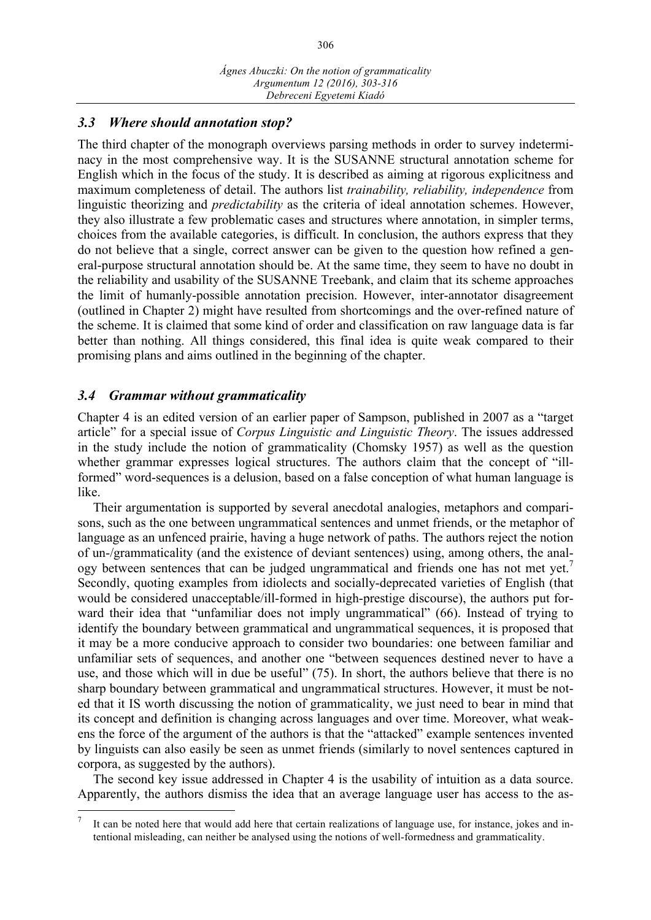## *3.3 Where should annotation stop?*

The third chapter of the monograph overviews parsing methods in order to survey indeterminacy in the most comprehensive way. It is the SUSANNE structural annotation scheme for English which in the focus of the study. It is described as aiming at rigorous explicitness and maximum completeness of detail. The authors list *trainability, reliability, independence* from linguistic theorizing and *predictability* as the criteria of ideal annotation schemes. However, they also illustrate a few problematic cases and structures where annotation, in simpler terms, choices from the available categories, is difficult. In conclusion, the authors express that they do not believe that a single, correct answer can be given to the question how refined a general-purpose structural annotation should be. At the same time, they seem to have no doubt in the reliability and usability of the SUSANNE Treebank, and claim that its scheme approaches the limit of humanly-possible annotation precision. However, inter-annotator disagreement (outlined in Chapter 2) might have resulted from shortcomings and the over-refined nature of the scheme. It is claimed that some kind of order and classification on raw language data is far better than nothing. All things considered, this final idea is quite weak compared to their promising plans and aims outlined in the beginning of the chapter.

## *3.4 Grammar without grammaticality*

Chapter 4 is an edited version of an earlier paper of Sampson, published in 2007 as a "target article" for a special issue of *Corpus Linguistic and Linguistic Theory*. The issues addressed in the study include the notion of grammaticality (Chomsky 1957) as well as the question whether grammar expresses logical structures. The authors claim that the concept of "illformed" word-sequences is a delusion, based on a false conception of what human language is like.

Their argumentation is supported by several anecdotal analogies, metaphors and comparisons, such as the one between ungrammatical sentences and unmet friends, or the metaphor of language as an unfenced prairie, having a huge network of paths. The authors reject the notion of un-/grammaticality (and the existence of deviant sentences) using, among others, the analogy between sentences that can be judged ungrammatical and friends one has not met yet.<sup>7</sup> Secondly, quoting examples from idiolects and socially-deprecated varieties of English (that would be considered unacceptable/ill-formed in high-prestige discourse), the authors put forward their idea that "unfamiliar does not imply ungrammatical" (66). Instead of trying to identify the boundary between grammatical and ungrammatical sequences, it is proposed that it may be a more conducive approach to consider two boundaries: one between familiar and unfamiliar sets of sequences, and another one "between sequences destined never to have a use, and those which will in due be useful" (75). In short, the authors believe that there is no sharp boundary between grammatical and ungrammatical structures. However, it must be noted that it IS worth discussing the notion of grammaticality, we just need to bear in mind that its concept and definition is changing across languages and over time. Moreover, what weakens the force of the argument of the authors is that the "attacked" example sentences invented by linguists can also easily be seen as unmet friends (similarly to novel sentences captured in corpora, as suggested by the authors).

The second key issue addressed in Chapter 4 is the usability of intuition as a data source. Apparently, the authors dismiss the idea that an average language user has access to the as-

It can be noted here that would add here that certain realizations of language use, for instance, jokes and intentional misleading, can neither be analysed using the notions of well-formedness and grammaticality.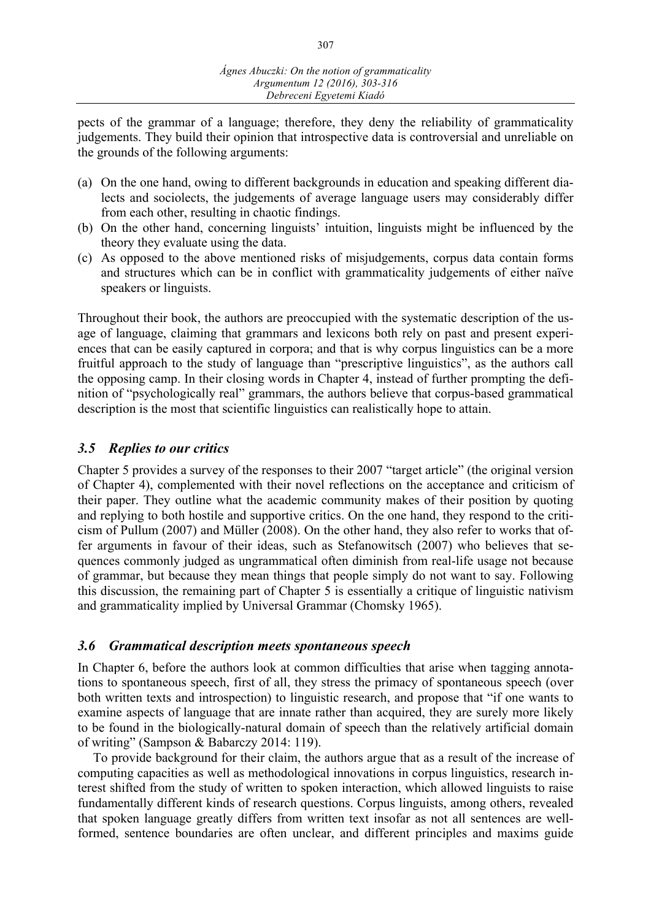pects of the grammar of a language; therefore, they deny the reliability of grammaticality judgements. They build their opinion that introspective data is controversial and unreliable on the grounds of the following arguments:

- (a) On the one hand, owing to different backgrounds in education and speaking different dialects and sociolects, the judgements of average language users may considerably differ from each other, resulting in chaotic findings.
- (b) On the other hand, concerning linguists' intuition, linguists might be influenced by the theory they evaluate using the data.
- (c) As opposed to the above mentioned risks of misjudgements, corpus data contain forms and structures which can be in conflict with grammaticality judgements of either naïve speakers or linguists.

Throughout their book, the authors are preoccupied with the systematic description of the usage of language, claiming that grammars and lexicons both rely on past and present experiences that can be easily captured in corpora; and that is why corpus linguistics can be a more fruitful approach to the study of language than "prescriptive linguistics", as the authors call the opposing camp. In their closing words in Chapter 4, instead of further prompting the definition of "psychologically real" grammars, the authors believe that corpus-based grammatical description is the most that scientific linguistics can realistically hope to attain.

## *3.5 Replies to our critics*

Chapter 5 provides a survey of the responses to their 2007 "target article" (the original version of Chapter 4), complemented with their novel reflections on the acceptance and criticism of their paper. They outline what the academic community makes of their position by quoting and replying to both hostile and supportive critics. On the one hand, they respond to the criticism of Pullum (2007) and Müller (2008). On the other hand, they also refer to works that offer arguments in favour of their ideas, such as Stefanowitsch (2007) who believes that sequences commonly judged as ungrammatical often diminish from real-life usage not because of grammar, but because they mean things that people simply do not want to say. Following this discussion, the remaining part of Chapter 5 is essentially a critique of linguistic nativism and grammaticality implied by Universal Grammar (Chomsky 1965).

## *3.6 Grammatical description meets spontaneous speech*

In Chapter 6, before the authors look at common difficulties that arise when tagging annotations to spontaneous speech, first of all, they stress the primacy of spontaneous speech (over both written texts and introspection) to linguistic research, and propose that "if one wants to examine aspects of language that are innate rather than acquired, they are surely more likely to be found in the biologically-natural domain of speech than the relatively artificial domain of writing" (Sampson & Babarczy 2014: 119).

To provide background for their claim, the authors argue that as a result of the increase of computing capacities as well as methodological innovations in corpus linguistics, research interest shifted from the study of written to spoken interaction, which allowed linguists to raise fundamentally different kinds of research questions. Corpus linguists, among others, revealed that spoken language greatly differs from written text insofar as not all sentences are wellformed, sentence boundaries are often unclear, and different principles and maxims guide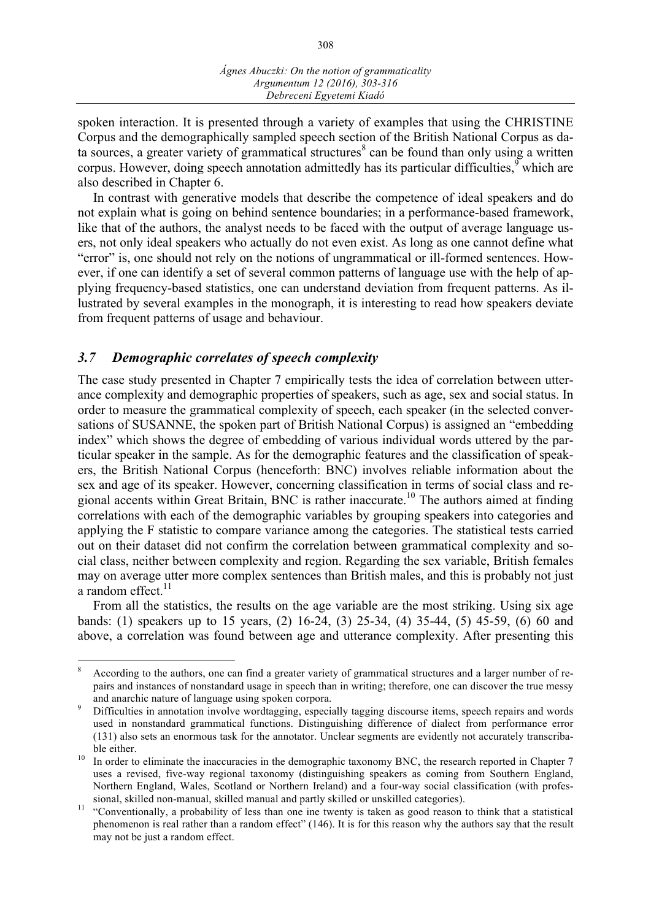spoken interaction. It is presented through a variety of examples that using the CHRISTINE Corpus and the demographically sampled speech section of the British National Corpus as data sources, a greater variety of grammatical structures<sup>8</sup> can be found than only using a written corpus. However, doing speech annotation admittedly has its particular difficulties, which are also described in Chapter 6.

In contrast with generative models that describe the competence of ideal speakers and do not explain what is going on behind sentence boundaries; in a performance-based framework, like that of the authors, the analyst needs to be faced with the output of average language users, not only ideal speakers who actually do not even exist. As long as one cannot define what "error" is, one should not rely on the notions of ungrammatical or ill-formed sentences. However, if one can identify a set of several common patterns of language use with the help of applying frequency-based statistics, one can understand deviation from frequent patterns. As illustrated by several examples in the monograph, it is interesting to read how speakers deviate from frequent patterns of usage and behaviour.

## *3.7 Demographic correlates of speech complexity*

The case study presented in Chapter 7 empirically tests the idea of correlation between utterance complexity and demographic properties of speakers, such as age, sex and social status. In order to measure the grammatical complexity of speech, each speaker (in the selected conversations of SUSANNE, the spoken part of British National Corpus) is assigned an "embedding index" which shows the degree of embedding of various individual words uttered by the particular speaker in the sample. As for the demographic features and the classification of speakers, the British National Corpus (henceforth: BNC) involves reliable information about the sex and age of its speaker. However, concerning classification in terms of social class and regional accents within Great Britain, BNC is rather inaccurate. <sup>10</sup> The authors aimed at finding correlations with each of the demographic variables by grouping speakers into categories and applying the F statistic to compare variance among the categories. The statistical tests carried out on their dataset did not confirm the correlation between grammatical complexity and social class, neither between complexity and region. Regarding the sex variable, British females may on average utter more complex sentences than British males, and this is probably not just a random effect.<sup>11</sup>

From all the statistics, the results on the age variable are the most striking. Using six age bands: (1) speakers up to 15 years, (2) 16-24, (3) 25-34, (4) 35-44, (5) 45-59, (6) 60 and above, a correlation was found between age and utterance complexity. After presenting this

<sup>&</sup>lt;sup>8</sup> According to the authors, one can find a greater variety of grammatical structures and a larger number of repairs and instances of nonstandard usage in speech than in writing; therefore, one can discover the true messy and anarchic nature of language using spoken corpora.<br><sup>9</sup> Difficulties in annotation involve wordtagging, especially tagging discourse items, speech repairs and words

used in nonstandard grammatical functions. Distinguishing difference of dialect from performance error (131) also sets an enormous task for the annotator. Unclear segments are evidently not accurately transcribable either.<br><sup>10</sup> In order to eliminate the inaccuracies in the demographic taxonomy BNC, the research reported in Chapter 7

uses a revised, five-way regional taxonomy (distinguishing speakers as coming from Southern England, Northern England, Wales, Scotland or Northern Ireland) and a four-way social classification (with profes-

sional, skilled non-manual, skilled manual and partly skilled or unskilled categories). <sup>11</sup> "Conventionally, a probability of less than one ine twenty is taken as good reason to think that a statistical phenomenon is real rather than a random effect" (146). It is for this reason why the authors say that the result may not be just a random effect.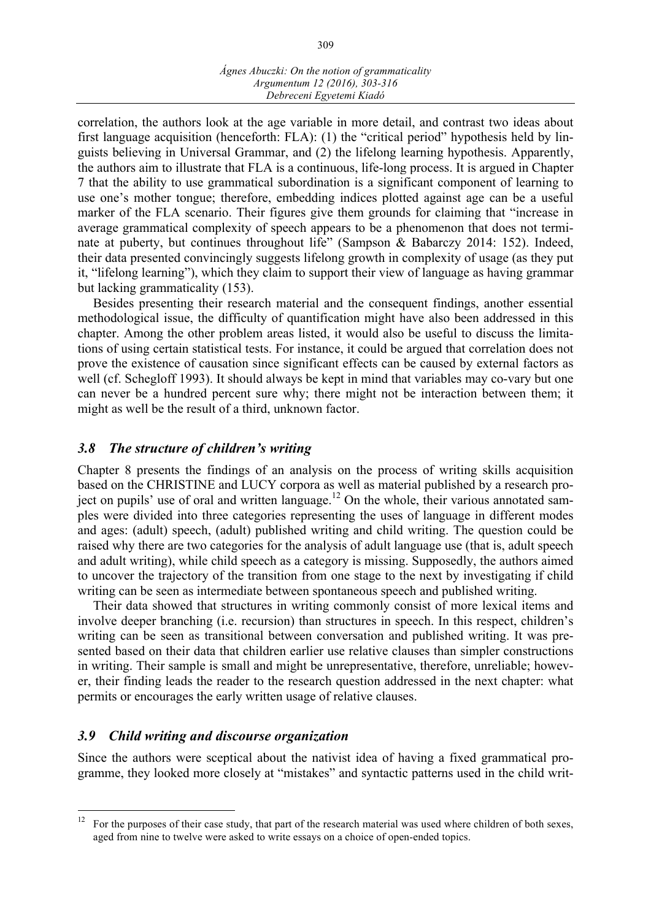correlation, the authors look at the age variable in more detail, and contrast two ideas about first language acquisition (henceforth: FLA): (1) the "critical period" hypothesis held by linguists believing in Universal Grammar, and (2) the lifelong learning hypothesis. Apparently, the authors aim to illustrate that FLA is a continuous, life-long process. It is argued in Chapter 7 that the ability to use grammatical subordination is a significant component of learning to use one's mother tongue; therefore, embedding indices plotted against age can be a useful marker of the FLA scenario. Their figures give them grounds for claiming that "increase in average grammatical complexity of speech appears to be a phenomenon that does not terminate at puberty, but continues throughout life" (Sampson & Babarczy 2014: 152). Indeed, their data presented convincingly suggests lifelong growth in complexity of usage (as they put it, "lifelong learning"), which they claim to support their view of language as having grammar but lacking grammaticality (153).

Besides presenting their research material and the consequent findings, another essential methodological issue, the difficulty of quantification might have also been addressed in this chapter. Among the other problem areas listed, it would also be useful to discuss the limitations of using certain statistical tests. For instance, it could be argued that correlation does not prove the existence of causation since significant effects can be caused by external factors as well (cf. Schegloff 1993). It should always be kept in mind that variables may co-vary but one can never be a hundred percent sure why; there might not be interaction between them; it might as well be the result of a third, unknown factor.

### *3.8 The structure of children's writing*

Chapter 8 presents the findings of an analysis on the process of writing skills acquisition based on the CHRISTINE and LUCY corpora as well as material published by a research project on pupils' use of oral and written language. <sup>12</sup> On the whole, their various annotated samples were divided into three categories representing the uses of language in different modes and ages: (adult) speech, (adult) published writing and child writing. The question could be raised why there are two categories for the analysis of adult language use (that is, adult speech and adult writing), while child speech as a category is missing. Supposedly, the authors aimed to uncover the trajectory of the transition from one stage to the next by investigating if child writing can be seen as intermediate between spontaneous speech and published writing.

Their data showed that structures in writing commonly consist of more lexical items and involve deeper branching (i.e. recursion) than structures in speech. In this respect, children's writing can be seen as transitional between conversation and published writing. It was presented based on their data that children earlier use relative clauses than simpler constructions in writing. Their sample is small and might be unrepresentative, therefore, unreliable; however, their finding leads the reader to the research question addressed in the next chapter: what permits or encourages the early written usage of relative clauses.

#### *3.9 Child writing and discourse organization*

Since the authors were sceptical about the nativist idea of having a fixed grammatical programme, they looked more closely at "mistakes" and syntactic patterns used in the child writ-

<sup>&</sup>lt;sup>12</sup> For the purposes of their case study, that part of the research material was used where children of both sexes, aged from nine to twelve were asked to write essays on a choice of open-ended topics.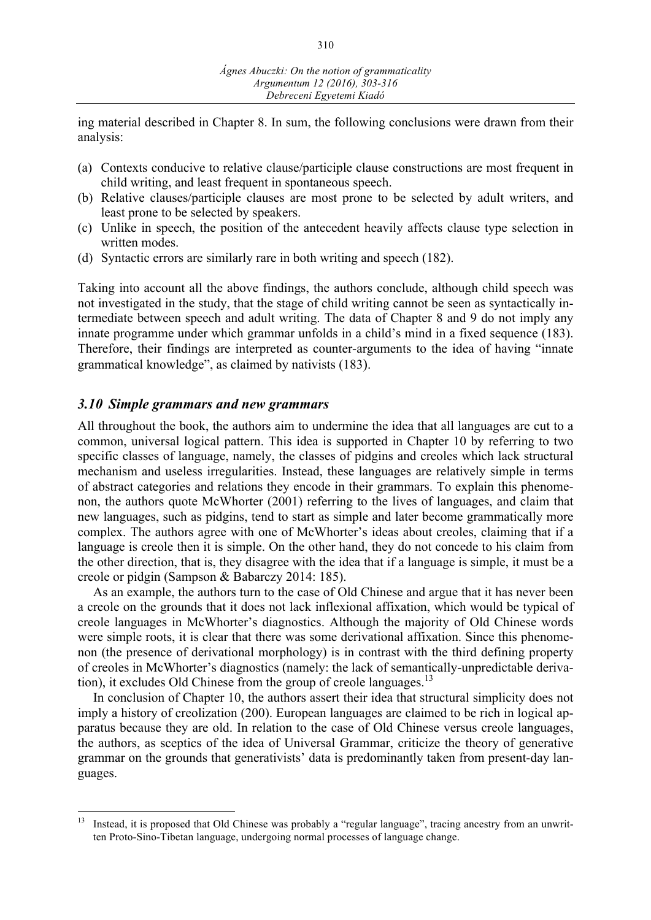ing material described in Chapter 8. In sum, the following conclusions were drawn from their analysis:

- (a) Contexts conducive to relative clause/participle clause constructions are most frequent in child writing, and least frequent in spontaneous speech.
- (b) Relative clauses/participle clauses are most prone to be selected by adult writers, and least prone to be selected by speakers.
- (c) Unlike in speech, the position of the antecedent heavily affects clause type selection in written modes.
- (d) Syntactic errors are similarly rare in both writing and speech (182).

Taking into account all the above findings, the authors conclude, although child speech was not investigated in the study, that the stage of child writing cannot be seen as syntactically intermediate between speech and adult writing. The data of Chapter 8 and 9 do not imply any innate programme under which grammar unfolds in a child's mind in a fixed sequence (183). Therefore, their findings are interpreted as counter-arguments to the idea of having "innate grammatical knowledge", as claimed by nativists (183).

#### *3.10 Simple grammars and new grammars*

All throughout the book, the authors aim to undermine the idea that all languages are cut to a common, universal logical pattern. This idea is supported in Chapter 10 by referring to two specific classes of language, namely, the classes of pidgins and creoles which lack structural mechanism and useless irregularities. Instead, these languages are relatively simple in terms of abstract categories and relations they encode in their grammars. To explain this phenomenon, the authors quote McWhorter (2001) referring to the lives of languages, and claim that new languages, such as pidgins, tend to start as simple and later become grammatically more complex. The authors agree with one of McWhorter's ideas about creoles, claiming that if a language is creole then it is simple. On the other hand, they do not concede to his claim from the other direction, that is, they disagree with the idea that if a language is simple, it must be a creole or pidgin (Sampson & Babarczy 2014: 185).

As an example, the authors turn to the case of Old Chinese and argue that it has never been a creole on the grounds that it does not lack inflexional affixation, which would be typical of creole languages in McWhorter's diagnostics. Although the majority of Old Chinese words were simple roots, it is clear that there was some derivational affixation. Since this phenomenon (the presence of derivational morphology) is in contrast with the third defining property of creoles in McWhorter's diagnostics (namely: the lack of semantically-unpredictable derivation), it excludes Old Chinese from the group of creole languages.<sup>13</sup>

In conclusion of Chapter 10, the authors assert their idea that structural simplicity does not imply a history of creolization (200). European languages are claimed to be rich in logical apparatus because they are old. In relation to the case of Old Chinese versus creole languages, the authors, as sceptics of the idea of Universal Grammar, criticize the theory of generative grammar on the grounds that generativists' data is predominantly taken from present-day languages.

<sup>&</sup>lt;sup>13</sup> Instead, it is proposed that Old Chinese was probably a "regular language", tracing ancestry from an unwritten Proto-Sino-Tibetan language, undergoing normal processes of language change.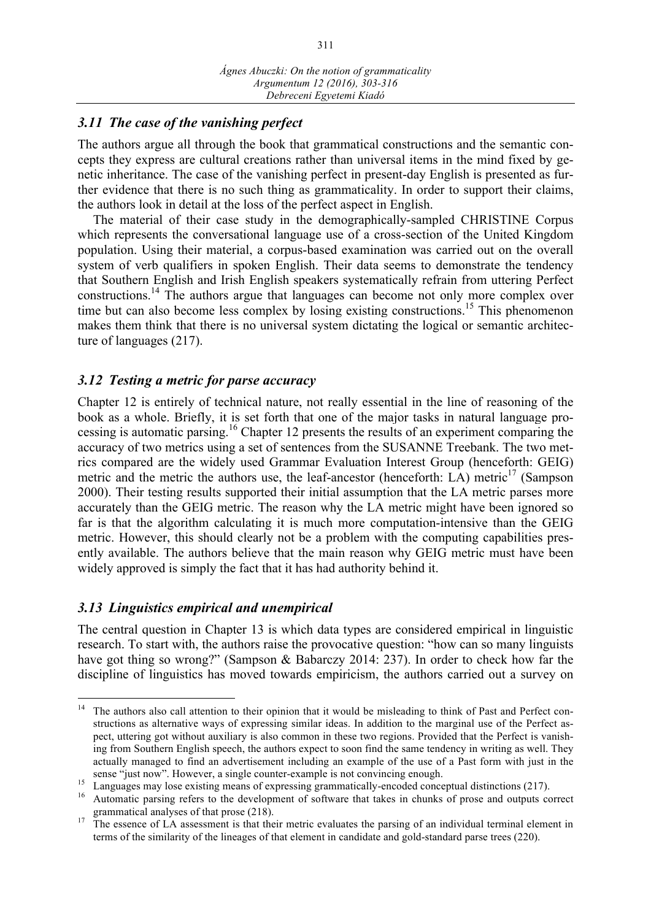# *3.11 The case of the vanishing perfect*

The authors argue all through the book that grammatical constructions and the semantic concepts they express are cultural creations rather than universal items in the mind fixed by genetic inheritance. The case of the vanishing perfect in present-day English is presented as further evidence that there is no such thing as grammaticality. In order to support their claims, the authors look in detail at the loss of the perfect aspect in English.

The material of their case study in the demographically-sampled CHRISTINE Corpus which represents the conversational language use of a cross-section of the United Kingdom population. Using their material, a corpus-based examination was carried out on the overall system of verb qualifiers in spoken English. Their data seems to demonstrate the tendency that Southern English and Irish English speakers systematically refrain from uttering Perfect constructions.<sup>14</sup> The authors argue that languages can become not only more complex over time but can also become less complex by losing existing constructions.<sup>15</sup> This phenomenon makes them think that there is no universal system dictating the logical or semantic architecture of languages (217).

## *3.12 Testing a metric for parse accuracy*

Chapter 12 is entirely of technical nature, not really essential in the line of reasoning of the book as a whole. Briefly, it is set forth that one of the major tasks in natural language processing is automatic parsing.<sup>16</sup> Chapter 12 presents the results of an experiment comparing the accuracy of two metrics using a set of sentences from the SUSANNE Treebank. The two metrics compared are the widely used Grammar Evaluation Interest Group (henceforth: GEIG) metric and the metric the authors use, the leaf-ancestor (henceforth: LA) metric<sup>17</sup> (Sampson 2000). Their testing results supported their initial assumption that the LA metric parses more accurately than the GEIG metric. The reason why the LA metric might have been ignored so far is that the algorithm calculating it is much more computation-intensive than the GEIG metric. However, this should clearly not be a problem with the computing capabilities presently available. The authors believe that the main reason why GEIG metric must have been widely approved is simply the fact that it has had authority behind it.

## *3.13 Linguistics empirical and unempirical*

The central question in Chapter 13 is which data types are considered empirical in linguistic research. To start with, the authors raise the provocative question: "how can so many linguists have got thing so wrong?" (Sampson & Babarczy 2014: 237). In order to check how far the discipline of linguistics has moved towards empiricism, the authors carried out a survey on

 $14$  The authors also call attention to their opinion that it would be misleading to think of Past and Perfect constructions as alternative ways of expressing similar ideas. In addition to the marginal use of the Perfect aspect, uttering got without auxiliary is also common in these two regions. Provided that the Perfect is vanishing from Southern English speech, the authors expect to soon find the same tendency in writing as well. They actually managed to find an advertisement including an example of the use of a Past form with just in the sense "just now". However, a single counter-example is not convincing enough.<br><sup>15</sup> Languages may lose existing means of expressing grammatically-encoded conceptual distinctions (217).<br><sup>16</sup> Automatic parsing refers to the d

grammatical analyses of that prose (218).<br><sup>17</sup> The essence of LA assessment is that their metric evaluates the parsing of an individual terminal element in terms of the similarity of the lineages of that element in candidate and gold-standard parse trees (220).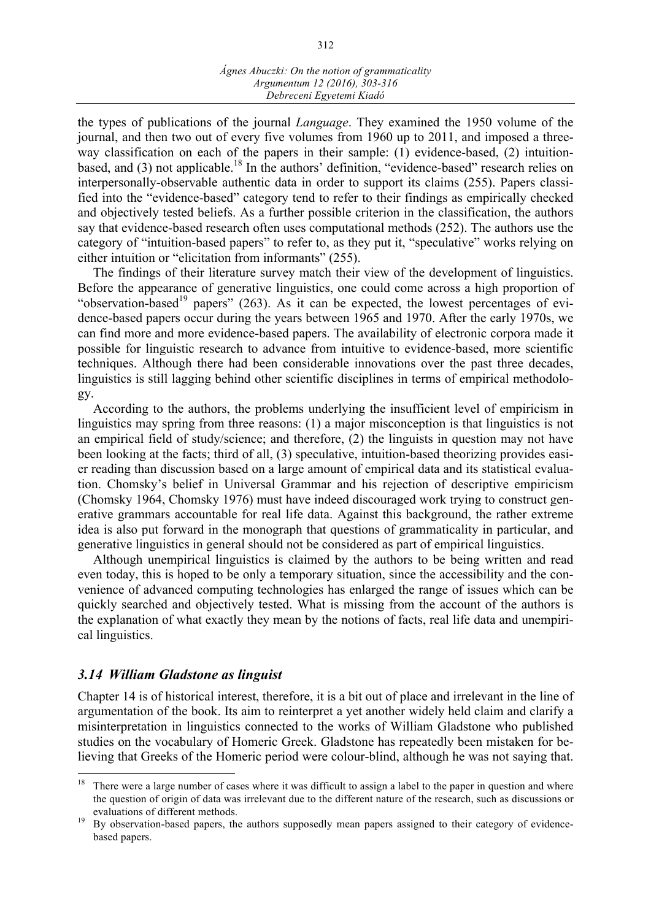the types of publications of the journal *Language*. They examined the 1950 volume of the journal, and then two out of every five volumes from 1960 up to 2011, and imposed a threeway classification on each of the papers in their sample: (1) evidence-based, (2) intuitionbased, and (3) not applicable.<sup>18</sup> In the authors' definition, "evidence-based" research relies on interpersonally-observable authentic data in order to support its claims (255). Papers classified into the "evidence-based" category tend to refer to their findings as empirically checked and objectively tested beliefs. As a further possible criterion in the classification, the authors say that evidence-based research often uses computational methods (252). The authors use the category of "intuition-based papers" to refer to, as they put it, "speculative" works relying on either intuition or "elicitation from informants" (255).

The findings of their literature survey match their view of the development of linguistics. Before the appearance of generative linguistics, one could come across a high proportion of "observation-based<sup>19</sup> papers" (263). As it can be expected, the lowest percentages of evidence-based papers occur during the years between 1965 and 1970. After the early 1970s, we can find more and more evidence-based papers. The availability of electronic corpora made it possible for linguistic research to advance from intuitive to evidence-based, more scientific techniques. Although there had been considerable innovations over the past three decades, linguistics is still lagging behind other scientific disciplines in terms of empirical methodology.

According to the authors, the problems underlying the insufficient level of empiricism in linguistics may spring from three reasons: (1) a major misconception is that linguistics is not an empirical field of study/science; and therefore, (2) the linguists in question may not have been looking at the facts; third of all, (3) speculative, intuition-based theorizing provides easier reading than discussion based on a large amount of empirical data and its statistical evaluation. Chomsky's belief in Universal Grammar and his rejection of descriptive empiricism (Chomsky 1964, Chomsky 1976) must have indeed discouraged work trying to construct generative grammars accountable for real life data. Against this background, the rather extreme idea is also put forward in the monograph that questions of grammaticality in particular, and generative linguistics in general should not be considered as part of empirical linguistics.

Although unempirical linguistics is claimed by the authors to be being written and read even today, this is hoped to be only a temporary situation, since the accessibility and the convenience of advanced computing technologies has enlarged the range of issues which can be quickly searched and objectively tested. What is missing from the account of the authors is the explanation of what exactly they mean by the notions of facts, real life data and unempirical linguistics.

## *3.14 William Gladstone as linguist*

Chapter 14 is of historical interest, therefore, it is a bit out of place and irrelevant in the line of argumentation of the book. Its aim to reinterpret a yet another widely held claim and clarify a misinterpretation in linguistics connected to the works of William Gladstone who published studies on the vocabulary of Homeric Greek. Gladstone has repeatedly been mistaken for believing that Greeks of the Homeric period were colour-blind, although he was not saying that.

<sup>&</sup>lt;sup>18</sup> There were a large number of cases where it was difficult to assign a label to the paper in question and where the question of origin of data was irrelevant due to the different nature of the research, such as discussions or evaluations of different methods.<br><sup>19</sup> By observation-based papers, the authors supposedly mean papers assigned to their category of evidence-

based papers.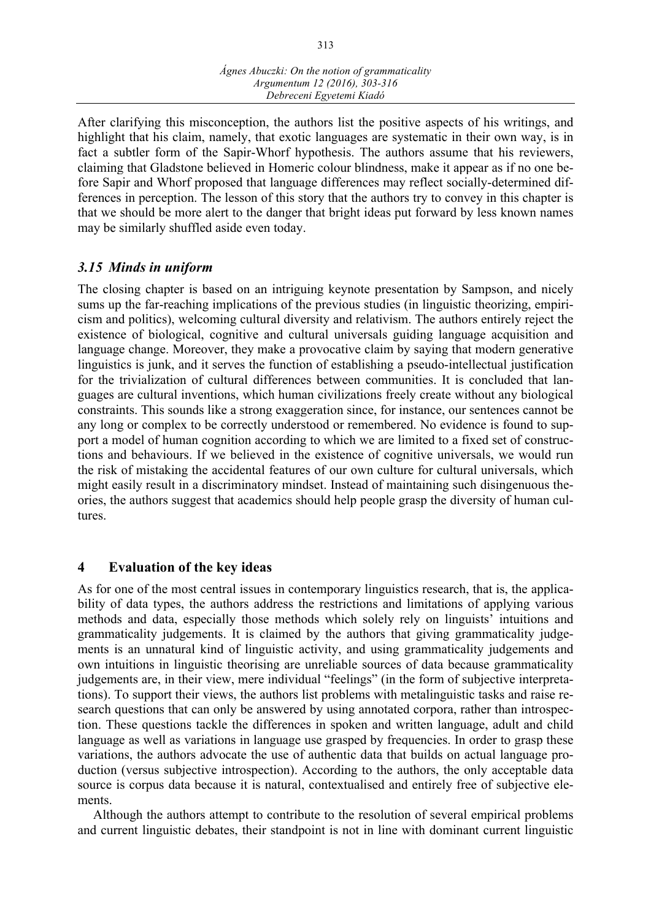After clarifying this misconception, the authors list the positive aspects of his writings, and highlight that his claim, namely, that exotic languages are systematic in their own way, is in fact a subtler form of the Sapir-Whorf hypothesis. The authors assume that his reviewers, claiming that Gladstone believed in Homeric colour blindness, make it appear as if no one before Sapir and Whorf proposed that language differences may reflect socially-determined differences in perception. The lesson of this story that the authors try to convey in this chapter is that we should be more alert to the danger that bright ideas put forward by less known names may be similarly shuffled aside even today.

## *3.15 Minds in uniform*

The closing chapter is based on an intriguing keynote presentation by Sampson, and nicely sums up the far-reaching implications of the previous studies (in linguistic theorizing, empiricism and politics), welcoming cultural diversity and relativism. The authors entirely reject the existence of biological, cognitive and cultural universals guiding language acquisition and language change. Moreover, they make a provocative claim by saying that modern generative linguistics is junk, and it serves the function of establishing a pseudo-intellectual justification for the trivialization of cultural differences between communities. It is concluded that languages are cultural inventions, which human civilizations freely create without any biological constraints. This sounds like a strong exaggeration since, for instance, our sentences cannot be any long or complex to be correctly understood or remembered. No evidence is found to support a model of human cognition according to which we are limited to a fixed set of constructions and behaviours. If we believed in the existence of cognitive universals, we would run the risk of mistaking the accidental features of our own culture for cultural universals, which might easily result in a discriminatory mindset. Instead of maintaining such disingenuous theories, the authors suggest that academics should help people grasp the diversity of human cultures.

## **4 Evaluation of the key ideas**

As for one of the most central issues in contemporary linguistics research, that is, the applicability of data types, the authors address the restrictions and limitations of applying various methods and data, especially those methods which solely rely on linguists' intuitions and grammaticality judgements. It is claimed by the authors that giving grammaticality judgements is an unnatural kind of linguistic activity, and using grammaticality judgements and own intuitions in linguistic theorising are unreliable sources of data because grammaticality judgements are, in their view, mere individual "feelings" (in the form of subjective interpretations). To support their views, the authors list problems with metalinguistic tasks and raise research questions that can only be answered by using annotated corpora, rather than introspection. These questions tackle the differences in spoken and written language, adult and child language as well as variations in language use grasped by frequencies. In order to grasp these variations, the authors advocate the use of authentic data that builds on actual language production (versus subjective introspection). According to the authors, the only acceptable data source is corpus data because it is natural, contextualised and entirely free of subjective elements.

Although the authors attempt to contribute to the resolution of several empirical problems and current linguistic debates, their standpoint is not in line with dominant current linguistic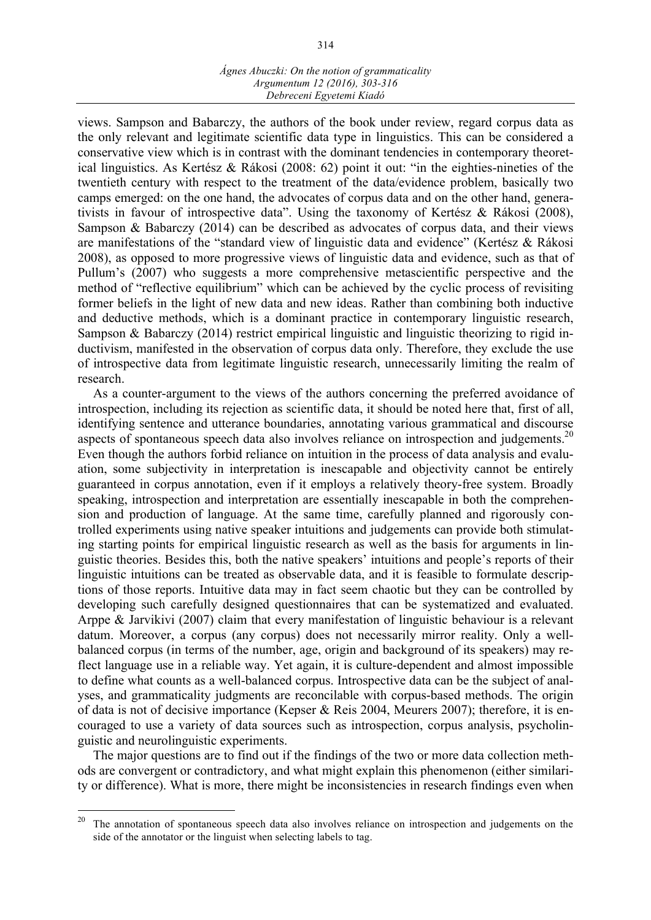views. Sampson and Babarczy, the authors of the book under review, regard corpus data as the only relevant and legitimate scientific data type in linguistics. This can be considered a conservative view which is in contrast with the dominant tendencies in contemporary theoretical linguistics. As Kertész & Rákosi (2008: 62) point it out: "in the eighties-nineties of the twentieth century with respect to the treatment of the data/evidence problem, basically two camps emerged: on the one hand, the advocates of corpus data and on the other hand, generativists in favour of introspective data". Using the taxonomy of Kertész & Rákosi (2008), Sampson & Babarczy (2014) can be described as advocates of corpus data, and their views are manifestations of the "standard view of linguistic data and evidence" (Kertész & Rákosi 2008), as opposed to more progressive views of linguistic data and evidence, such as that of Pullum's (2007) who suggests a more comprehensive metascientific perspective and the method of "reflective equilibrium" which can be achieved by the cyclic process of revisiting former beliefs in the light of new data and new ideas. Rather than combining both inductive and deductive methods, which is a dominant practice in contemporary linguistic research, Sampson & Babarczy (2014) restrict empirical linguistic and linguistic theorizing to rigid inductivism, manifested in the observation of corpus data only. Therefore, they exclude the use of introspective data from legitimate linguistic research, unnecessarily limiting the realm of research.

As a counter-argument to the views of the authors concerning the preferred avoidance of introspection, including its rejection as scientific data, it should be noted here that, first of all, identifying sentence and utterance boundaries, annotating various grammatical and discourse aspects of spontaneous speech data also involves reliance on introspection and judgements.<sup>20</sup> Even though the authors forbid reliance on intuition in the process of data analysis and evaluation, some subjectivity in interpretation is inescapable and objectivity cannot be entirely guaranteed in corpus annotation, even if it employs a relatively theory-free system. Broadly speaking, introspection and interpretation are essentially inescapable in both the comprehension and production of language. At the same time, carefully planned and rigorously controlled experiments using native speaker intuitions and judgements can provide both stimulating starting points for empirical linguistic research as well as the basis for arguments in linguistic theories. Besides this, both the native speakers' intuitions and people's reports of their linguistic intuitions can be treated as observable data, and it is feasible to formulate descriptions of those reports. Intuitive data may in fact seem chaotic but they can be controlled by developing such carefully designed questionnaires that can be systematized and evaluated. Arppe & Jarvikivi (2007) claim that every manifestation of linguistic behaviour is a relevant datum. Moreover, a corpus (any corpus) does not necessarily mirror reality. Only a wellbalanced corpus (in terms of the number, age, origin and background of its speakers) may reflect language use in a reliable way. Yet again, it is culture-dependent and almost impossible to define what counts as a well-balanced corpus. Introspective data can be the subject of analyses, and grammaticality judgments are reconcilable with corpus-based methods. The origin of data is not of decisive importance (Kepser & Reis 2004, Meurers 2007); therefore, it is encouraged to use a variety of data sources such as introspection, corpus analysis, psycholinguistic and neurolinguistic experiments.

The major questions are to find out if the findings of the two or more data collection methods are convergent or contradictory, and what might explain this phenomenon (either similarity or difference). What is more, there might be inconsistencies in research findings even when

<sup>&</sup>lt;sup>20</sup> The annotation of spontaneous speech data also involves reliance on introspection and judgements on the side of the annotator or the linguist when selecting labels to tag.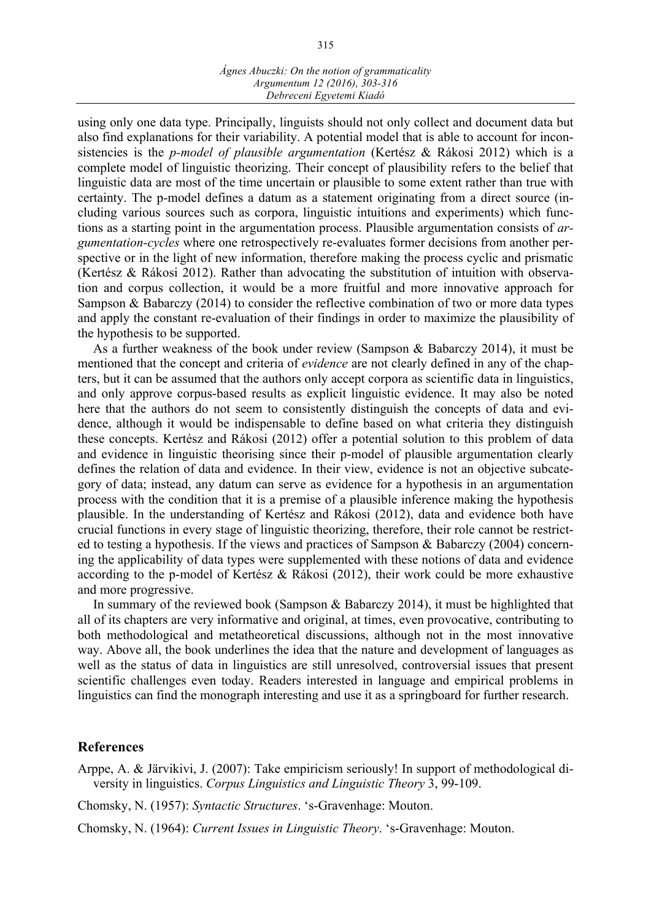#### *Ágnes Abuczki: On the notion of grammaticality Argumentum 12 (2016), 303-316 Debreceni Egyetemi Kiadó*

using only one data type. Principally, linguists should not only collect and document data but also find explanations for their variability. A potential model that is able to account for inconsistencies is the *p-model of plausible argumentation* (Kertész & Rákosi 2012) which is a complete model of linguistic theorizing. Their concept of plausibility refers to the belief that linguistic data are most of the time uncertain or plausible to some extent rather than true with certainty. The p-model defines a datum as a statement originating from a direct source (including various sources such as corpora, linguistic intuitions and experiments) which functions as a starting point in the argumentation process. Plausible argumentation consists of *argumentation-cycles* where one retrospectively re-evaluates former decisions from another perspective or in the light of new information, therefore making the process cyclic and prismatic (Kertész & Rákosi 2012). Rather than advocating the substitution of intuition with observation and corpus collection, it would be a more fruitful and more innovative approach for Sampson & Babarczy (2014) to consider the reflective combination of two or more data types and apply the constant re-evaluation of their findings in order to maximize the plausibility of the hypothesis to be supported.

As a further weakness of the book under review (Sampson & Babarczy 2014), it must be mentioned that the concept and criteria of *evidence* are not clearly defined in any of the chapters, but it can be assumed that the authors only accept corpora as scientific data in linguistics, and only approve corpus-based results as explicit linguistic evidence. It may also be noted here that the authors do not seem to consistently distinguish the concepts of data and evidence, although it would be indispensable to define based on what criteria they distinguish these concepts. Kertész and Rákosi (2012) offer a potential solution to this problem of data and evidence in linguistic theorising since their p-model of plausible argumentation clearly defines the relation of data and evidence. In their view, evidence is not an objective subcategory of data; instead, any datum can serve as evidence for a hypothesis in an argumentation process with the condition that it is a premise of a plausible inference making the hypothesis plausible. In the understanding of Kertész and Rákosi (2012), data and evidence both have crucial functions in every stage of linguistic theorizing, therefore, their role cannot be restricted to testing a hypothesis. If the views and practices of Sampson & Babarczy (2004) concerning the applicability of data types were supplemented with these notions of data and evidence according to the p-model of Kertész & Rákosi (2012), their work could be more exhaustive and more progressive.

In summary of the reviewed book (Sampson & Babarczy 2014), it must be highlighted that all of its chapters are very informative and original, at times, even provocative, contributing to both methodological and metatheoretical discussions, although not in the most innovative way. Above all, the book underlines the idea that the nature and development of languages as well as the status of data in linguistics are still unresolved, controversial issues that present scientific challenges even today. Readers interested in language and empirical problems in linguistics can find the monograph interesting and use it as a springboard for further research.

### **References**

Arppe, A. & Järvikivi, J. (2007): Take empiricism seriously! In support of methodological diversity in linguistics. *Corpus Linguistics and Linguistic Theory* 3, 99-109.

Chomsky, N. (1957): *Syntactic Structures*. 's-Gravenhage: Mouton.

Chomsky, N. (1964): *Current Issues in Linguistic Theory*. 's-Gravenhage: Mouton.